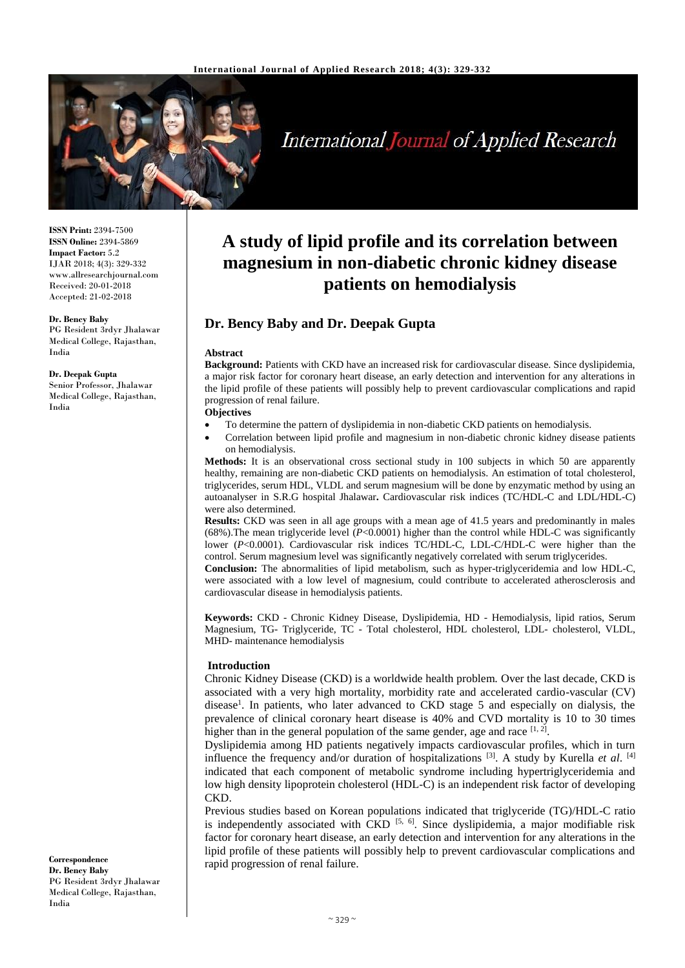

# **International Journal of Applied Research**

**ISSN Print:** 2394-7500 **ISSN Online:** 2394-5869 **Impact Factor:** 5.2 IJAR 2018; 4(3): 329-332 www.allresearchjournal.com Received: 20-01-2018 Accepted: 21-02-2018

#### **Dr. Bency Baby**

PG Resident 3rdyr Jhalawar Medical College, Rajasthan, India

#### **Dr. Deepak Gupta**

Senior Professor, Jhalawar Medical College, Rajasthan, India

#### **Correspondence Dr. Bency Baby** PG Resident 3rdyr Jhalawar Medical College, Rajasthan, India

## **A study of lipid profile and its correlation between magnesium in non-diabetic chronic kidney disease patients on hemodialysis**

### **Dr. Bency Baby and Dr. Deepak Gupta**

#### **Abstract**

**Background:** Patients with CKD have an increased risk for cardiovascular disease. Since dyslipidemia, a major risk factor for coronary heart disease, an early detection and intervention for any alterations in the lipid profile of these patients will possibly help to prevent cardiovascular complications and rapid progression of renal failure.

#### **Objectives**

- To determine the pattern of dyslipidemia in non-diabetic CKD patients on hemodialysis.
- Correlation between lipid profile and magnesium in non-diabetic chronic kidney disease patients on hemodialysis.

**Methods:** It is an observational cross sectional study in 100 subjects in which 50 are apparently healthy, remaining are non-diabetic CKD patients on hemodialysis. An estimation of total cholesterol, triglycerides, serum HDL, VLDL and serum magnesium will be done by enzymatic method by using an autoanalyser in S.R.G hospital Jhalawar**.** Cardiovascular risk indices (TC/HDL-C and LDL/HDL-C) were also determined.

**Results:** CKD was seen in all age groups with a mean age of 41.5 years and predominantly in males (68%). The mean triglyceride level  $(P<0.0001)$  higher than the control while HDL-C was significantly lower (*P*<0.0001). Cardiovascular risk indices TC/HDL-C, LDL-C/HDL-C were higher than the control. Serum magnesium level was significantly negatively correlated with serum triglycerides.

**Conclusion:** The abnormalities of lipid metabolism, such as hyper-triglyceridemia and low HDL-C, were associated with a low level of magnesium, could contribute to accelerated atherosclerosis and cardiovascular disease in hemodialysis patients.

**Keywords:** CKD - Chronic Kidney Disease, Dyslipidemia, HD - Hemodialysis, lipid ratios, Serum Magnesium, TG- Triglyceride, TC - Total cholesterol, HDL cholesterol, LDL- cholesterol, VLDL, MHD- maintenance hemodialysis

#### **Introduction**

Chronic Kidney Disease (CKD) is a worldwide health problem. Over the last decade, CKD is associated with a very high mortality, morbidity rate and accelerated cardio-vascular (CV) disease<sup>1</sup>. In patients, who later advanced to CKD stage 5 and especially on dialysis, the prevalence of clinical coronary heart disease is 40% and CVD mortality is 10 to 30 times higher than in the general population of the same gender, age and race  $[1, 2]$ .

Dyslipidemia among HD patients negatively impacts cardiovascular profiles, which in turn influence the frequency and/or duration of hospitalizations <sup>[3]</sup>. A study by Kurella *et al.* [4] indicated that each component of metabolic syndrome including hypertriglyceridemia and low high density lipoprotein cholesterol (HDL-C) is an independent risk factor of developing CKD.

Previous studies based on Korean populations indicated that triglyceride (TG)/HDL-C ratio is independently associated with CKD  $[5, 6]$ . Since dyslipidemia, a major modifiable risk factor for coronary heart disease, an early detection and intervention for any alterations in the lipid profile of these patients will possibly help to prevent cardiovascular complications and rapid progression of renal failure.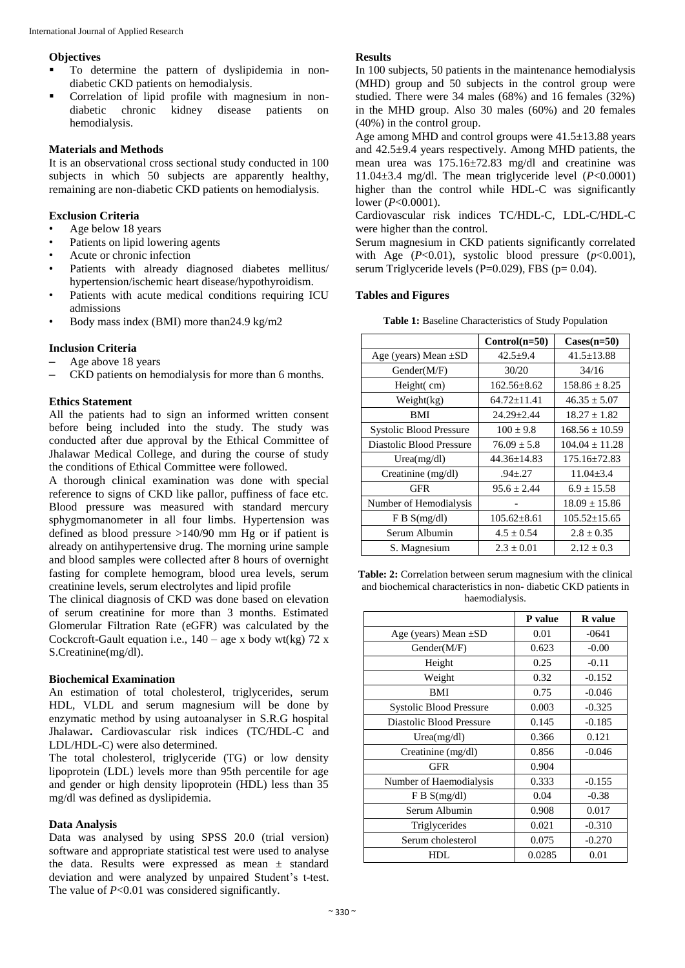#### **Objectives**

- To determine the pattern of dyslipidemia in nondiabetic CKD patients on hemodialysis.
- Correlation of lipid profile with magnesium in nondiabetic chronic kidney disease patients on hemodialysis.

#### **Materials and Methods**

It is an observational cross sectional study conducted in 100 subjects in which 50 subjects are apparently healthy, remaining are non-diabetic CKD patients on hemodialysis.

#### **Exclusion Criteria**

- Age below 18 years
- Patients on lipid lowering agents
- Acute or chronic infection
- Patients with already diagnosed diabetes mellitus/ hypertension/ischemic heart disease/hypothyroidism.
- Patients with acute medical conditions requiring ICU admissions
- Body mass index (BMI) more than24.9 kg/m2

#### **Inclusion Criteria**

- Age above 18 years
- CKD patients on hemodialysis for more than 6 months.

#### **Ethics Statement**

All the patients had to sign an informed written consent before being included into the study. The study was conducted after due approval by the Ethical Committee of Jhalawar Medical College, and during the course of study the conditions of Ethical Committee were followed.

A thorough clinical examination was done with special reference to signs of CKD like pallor, puffiness of face etc. Blood pressure was measured with standard mercury sphygmomanometer in all four limbs. Hypertension was defined as blood pressure >140/90 mm Hg or if patient is already on antihypertensive drug. The morning urine sample and blood samples were collected after 8 hours of overnight fasting for complete hemogram, blood urea levels, serum creatinine levels, serum electrolytes and lipid profile

The clinical diagnosis of CKD was done based on elevation of serum creatinine for more than 3 months. Estimated Glomerular Filtration Rate (eGFR) was calculated by the Cockcroft-Gault equation i.e.,  $140 - age \times body \text{ wt}(\text{kg})$  72 x S.Creatinine(mg/dl).

#### **Biochemical Examination**

An estimation of total cholesterol, triglycerides, serum HDL, VLDL and serum magnesium will be done by enzymatic method by using autoanalyser in S.R.G hospital Jhalawar**.** Cardiovascular risk indices (TC/HDL-C and LDL/HDL-C) were also determined.

The total cholesterol, triglyceride (TG) or low density lipoprotein (LDL) levels more than 95th percentile for age and gender or high density lipoprotein (HDL) less than 35 mg/dl was defined as dyslipidemia.

#### **Data Analysis**

Data was analysed by using SPSS 20.0 (trial version) software and appropriate statistical test were used to analyse the data. Results were expressed as mean ± standard deviation and were analyzed by unpaired Student's t-test. The value of *P*<0.01 was considered significantly.

#### **Results**

In 100 subjects, 50 patients in the maintenance hemodialysis (MHD) group and 50 subjects in the control group were studied. There were 34 males (68%) and 16 females (32%) in the MHD group. Also 30 males (60%) and 20 females (40%) in the control group.

Age among MHD and control groups were  $41.5 \pm 13.88$  years and 42.5±9.4 years respectively. Among MHD patients, the mean urea was 175.16±72.83 mg/dl and creatinine was 11.04±3.4 mg/dl. The mean triglyceride level (*P*<0.0001) higher than the control while HDL-C was significantly lower (*P*<0.0001).

Cardiovascular risk indices TC/HDL-C, LDL-C/HDL-C were higher than the control.

Serum magnesium in CKD patients significantly correlated with Age  $(P<0.01)$ , systolic blood pressure  $(p<0.001)$ , serum Triglyceride levels (P=0.029), FBS ( $p=0.04$ ).

#### **Tables and Figures**

**Table 1:** Baseline Characteristics of Study Population

|                                | $Control(n=50)$   | $\text{Cases}(n=50)$ |  |
|--------------------------------|-------------------|----------------------|--|
| Age (years) Mean $\pm SD$      | $42.5 + 9.4$      | $41.5 \pm 13.88$     |  |
| Gender(M/F)                    | 30/20             | 34/16                |  |
| Height(cm)                     | $162.56 \pm 8.62$ | $158.86 \pm 8.25$    |  |
| Weight(kg)                     | $64.72 \pm 11.41$ | $46.35 \pm 5.07$     |  |
| BMI                            | $24.29 + 2.44$    | $18.27 \pm 1.82$     |  |
| <b>Systolic Blood Pressure</b> | $100 \pm 9.8$     | $168.56 \pm 10.59$   |  |
| Diastolic Blood Pressure       | $76.09 \pm 5.8$   | $104.04 \pm 11.28$   |  |
| Urea(mg/dl)                    | 44.36±14.83       | 175.16±72.83         |  |
| Creatinine (mg/dl)             | $.94 \pm .27$     | $11.04 \pm 3.4$      |  |
| GFR                            | $95.6 \pm 2.44$   | $6.9 \pm 15.58$      |  |
| Number of Hemodialysis         |                   | $18.09 \pm 15.86$    |  |
| F B S(mg/dl)                   | $105.62 \pm 8.61$ | $105.52 \pm 15.65$   |  |
| Serum Albumin                  | $4.5 \pm 0.54$    | $2.8 \pm 0.35$       |  |
| S. Magnesium                   | $2.3 \pm 0.01$    | $2.12 \pm 0.3$       |  |

**Table: 2:** Correlation between serum magnesium with the clinical and biochemical characteristics in non- diabetic CKD patients in haemodialysis.

|                                | P value | <b>R</b> value |  |
|--------------------------------|---------|----------------|--|
| Age (years) Mean $\pm SD$      | 0.01    | $-0641$        |  |
| Gender(M/F)                    | 0.623   | $-0.00$        |  |
| Height                         | 0.25    | $-0.11$        |  |
| Weight                         | 0.32    | $-0.152$       |  |
| <b>BMI</b>                     | 0.75    | $-0.046$       |  |
| <b>Systolic Blood Pressure</b> | 0.003   | $-0.325$       |  |
| Diastolic Blood Pressure       | 0.145   | $-0.185$       |  |
| Urea(mg/dl)                    | 0.366   | 0.121          |  |
| Creatinine $(mg/dl)$           | 0.856   | $-0.046$       |  |
| <b>GFR</b>                     | 0.904   |                |  |
| Number of Haemodialysis        | 0.333   | $-0.155$       |  |
| F B S(mg/dl)                   | 0.04    | $-0.38$        |  |
| Serum Albumin                  | 0.908   | 0.017          |  |
| Triglycerides                  | 0.021   | $-0.310$       |  |
| Serum cholesterol              | 0.075   | $-0.270$       |  |
| HDL                            | 0.0285  | 0.01           |  |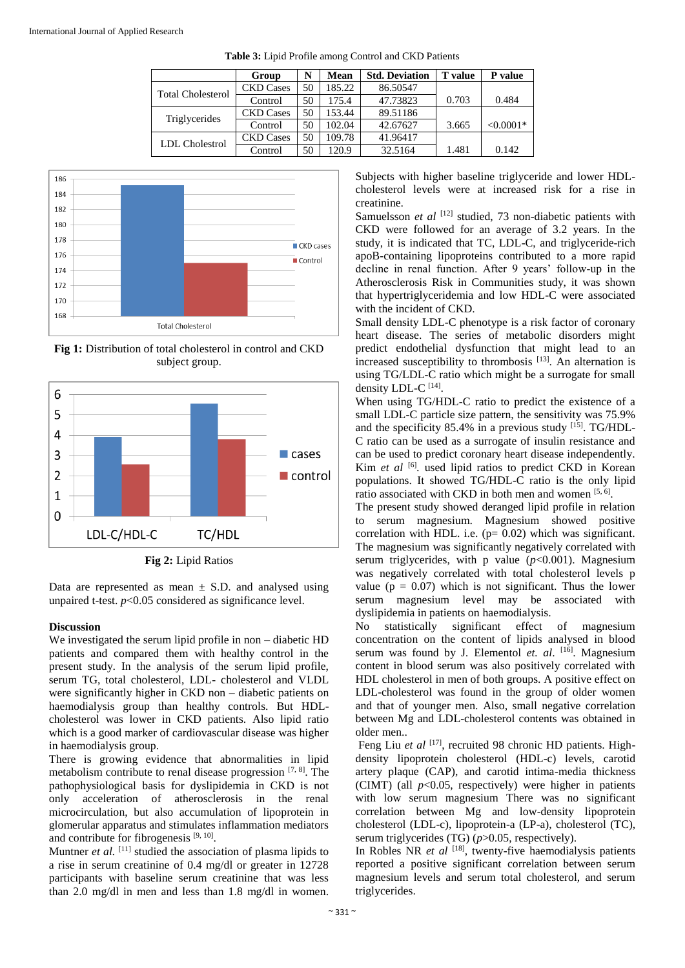|                          | Group            | N  | <b>Mean</b> | <b>Std. Deviation</b> | <b>T</b> value | P value     |
|--------------------------|------------------|----|-------------|-----------------------|----------------|-------------|
| <b>Total Cholesterol</b> | <b>CKD</b> Cases | 50 | 185.22      | 86.50547              |                |             |
|                          | Control          | 50 | 175.4       | 47.73823              | 0.703          | 0.484       |
| Triglycerides            | <b>CKD</b> Cases | 50 | 153.44      | 89.51186              |                |             |
|                          | Control          | 50 | 102.04      | 42.67627              | 3.665          | $< 0.0001*$ |
| <b>LDL</b> Cholestrol    | <b>CKD</b> Cases | 50 | 109.78      | 41.96417              |                |             |
|                          | Control          | 50 | 120.9       | 32.5164               | 1.481          | 0.142       |

**Table 3:** Lipid Profile among Control and CKD Patients



**Fig 1:** Distribution of total cholesterol in control and CKD subject group.



**Fig 2:** Lipid Ratios

Data are represented as mean  $\pm$  S.D. and analysed using unpaired t-test. *p*<0.05 considered as significance level.

#### **Discussion**

We investigated the serum lipid profile in non – diabetic HD patients and compared them with healthy control in the present study. In the analysis of the serum lipid profile, serum TG, total cholesterol, LDL- cholesterol and VLDL were significantly higher in CKD non – diabetic patients on haemodialysis group than healthy controls. But HDLcholesterol was lower in CKD patients. Also lipid ratio which is a good marker of cardiovascular disease was higher in haemodialysis group.

There is growing evidence that abnormalities in lipid metabolism contribute to renal disease progression  $[7, 8]$ . The pathophysiological basis for dyslipidemia in CKD is not only acceleration of atherosclerosis in the renal microcirculation, but also accumulation of lipoprotein in glomerular apparatus and stimulates inflammation mediators and contribute for fibrogenesis  $[9, 10]$ .

Muntner *et al.* <sup>[11]</sup> studied the association of plasma lipids to a rise in serum creatinine of 0.4 mg/dl or greater in 12728 participants with baseline serum creatinine that was less than 2.0 mg/dl in men and less than 1.8 mg/dl in women.

Subjects with higher baseline triglyceride and lower HDLcholesterol levels were at increased risk for a rise in creatinine.

Samuelsson *et al* <sup>[12]</sup> studied, 73 non-diabetic patients with CKD were followed for an average of 3.2 years. In the study, it is indicated that TC, LDL-C, and triglyceride-rich apoB-containing lipoproteins contributed to a more rapid decline in renal function. After 9 years' follow-up in the Atherosclerosis Risk in Communities study, it was shown that hypertriglyceridemia and low HDL-C were associated with the incident of CKD.

Small density LDL-C phenotype is a risk factor of coronary heart disease. The series of metabolic disorders might predict endothelial dysfunction that might lead to an increased susceptibility to thrombosis  $[13]$ . An alternation is using TG/LDL-C ratio which might be a surrogate for small density LDL-C [14] .

When using TG/HDL-C ratio to predict the existence of a small LDL-C particle size pattern, the sensitivity was 75.9% and the specificity 85.4% in a previous study [15]. TG/HDL-C ratio can be used as a surrogate of insulin resistance and can be used to predict coronary heart disease independently. Kim *et al* <sup>[6]</sup>. used lipid ratios to predict CKD in Korean populations. It showed TG/HDL-C ratio is the only lipid ratio associated with CKD in both men and women [5, 6].

The present study showed deranged lipid profile in relation to serum magnesium. Magnesium showed positive correlation with HDL. i.e.  $(p= 0.02)$  which was significant. The magnesium was significantly negatively correlated with serum triglycerides, with p value (*p*<0.001). Magnesium was negatively correlated with total cholesterol levels p value ( $p = 0.07$ ) which is not significant. Thus the lower serum magnesium level may be associated with dyslipidemia in patients on haemodialysis.

No statistically significant effect of magnesium concentration on the content of lipids analysed in blood serum was found by J*.* Elementol *et. al*. [16]. Magnesium content in blood serum was also positively correlated with HDL cholesterol in men of both groups. A positive effect on LDL-cholesterol was found in the group of older women and that of younger men. Also, small negative correlation between Mg and LDL-cholesterol contents was obtained in older men..

Feng Liu et al <sup>[17]</sup>, recruited 98 chronic HD patients. Highdensity lipoprotein cholesterol (HDL-c) levels, carotid artery plaque (CAP), and carotid intima-media thickness (CIMT) (all  $p<0.05$ , respectively) were higher in patients with low serum magnesium There was no significant correlation between Mg and low-density lipoprotein cholesterol (LDL-c), lipoprotein-a (LP-a), cholesterol (TC), serum triglycerides (TG) ( $p > 0.05$ , respectively).

In Robles NR *et al* [18], twenty-five haemodialysis patients reported a positive significant correlation between serum magnesium levels and serum total cholesterol, and serum triglycerides.